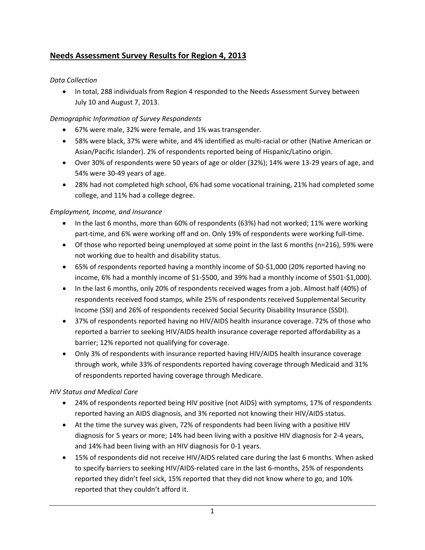# **Needs Assessment Survey Results for Region 4, 2013**

### *Data Collection*

• In total, 288 individuals from Region 4 responded to the Needs Assessment Survey between July 10 and August 7, 2013.

## *Demographic Information of Survey Respondents*

- 67% were male, 32% were female, and 1% was transgender.
- 58% were black, 37% were white, and 4% identified as multi‐racial or other (Native American or Asian/Pacific Islander). 2% of respondents reported being of Hispanic/Latino origin.
- Over 30% of respondents were 50 years of age or older (32%); 14% were 13‐29 years of age, and 54% were 30‐49 years of age.
- 28% had not completed high school, 6% had some vocational training, 21% had completed some college, and 11% had a college degree.

### *Employment, Income, and Insurance*

- In the last 6 months, more than 60% of respondents (63%) had not worked; 11% were working part-time, and 6% were working off and on. Only 19% of respondents were working full-time.
- Of those who reported being unemployed at some point in the last 6 months (n=216), 59% were not working due to health and disability status.
- 65% of respondents reported having a monthly income of \$0-\$1,000 (20% reported having no income, 6% had a monthly income of \$1‐\$500, and 39% had a monthly income of \$501‐\$1,000).
- In the last 6 months, only 20% of respondents received wages from a job. Almost half (40%) of respondents received food stamps, while 25% of respondents received Supplemental Security Income (SSI) and 26% of respondents received Social Security Disability Insurance (SSDI).
- 37% of respondents reported having no HIV/AIDS health insurance coverage. 72% of those who reported a barrier to seeking HIV/AIDS health insurance coverage reported affordability as a barrier; 12% reported not qualifying for coverage.
- Only 3% of respondents with insurance reported having HIV/AIDS health insurance coverage through work, while 33% of respondents reported having coverage through Medicaid and 31% of respondents reported having coverage through Medicare.

## *HIV Status and Medical Care*

- 24% of respondents reported being HIV positive (not AIDS) with symptoms, 17% of respondents reported having an AIDS diagnosis, and 3% reported not knowing their HIV/AIDS status.
- At the time the survey was given, 72% of respondents had been living with a positive HIV diagnosis for 5 years or more; 14% had been living with a positive HIV diagnosis for 2‐4 years, and 14% had been living with an HIV diagnosis for 0‐1 years.
- 15% of respondents did not receive HIV/AIDS related care during the last 6 months. When asked to specify barriers to seeking HIV/AIDS-related care in the last 6-months, 25% of respondents reported they didn't feel sick, 15% reported that they did not know where to go, and 10% reported that they couldn't afford it.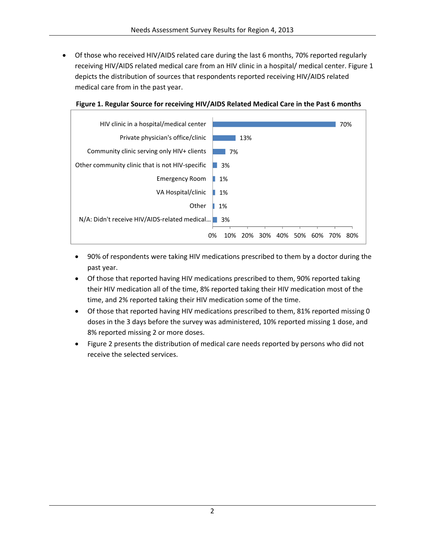• Of those who received HIV/AIDS related care during the last 6 months, 70% reported regularly receiving HIV/AIDS related medical care from an HIV clinic in a hospital/ medical center. Figure 1 depicts the distribution of sources that respondents reported receiving HIV/AIDS related medical care from in the past year.



#### **Figure 1. Regular Source for receiving HIV/AIDS Related Medical Care in the Past 6 months**

- 90% of respondents were taking HIV medications prescribed to them by a doctor during the past year.
- Of those that reported having HIV medications prescribed to them, 90% reported taking their HIV medication all of the time, 8% reported taking their HIV medication most of the time, and 2% reported taking their HIV medication some of the time.
- Of those that reported having HIV medications prescribed to them, 81% reported missing 0 doses in the 3 days before the survey was administered, 10% reported missing 1 dose, and 8% reported missing 2 or more doses.
- Figure 2 presents the distribution of medical care needs reported by persons who did not receive the selected services.